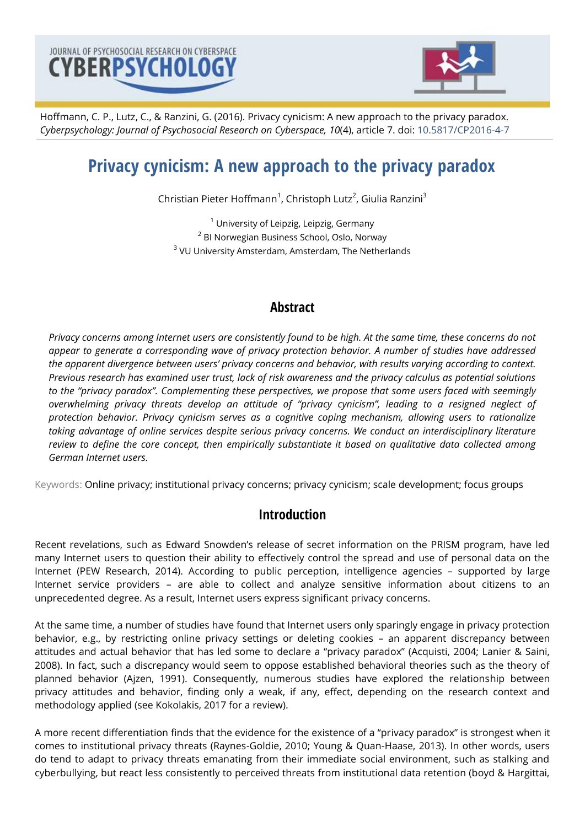



Hoffmann, C. P., Lutz, C., & Ranzini, G. (2016). Privacy cynicism: A new approach to the privacy paradox. *Cyberpsychology: Journal of Psychosocial Research on Cyberspace, 10*(4), article 7. doi: [10.5817/CP2016-4-7](http://dx.doi.org/10.5817/CP2016-4-7)

# **Privacy cynicism: A new approach to the privacy paradox**

Christian Pieter Hoffmann<sup>1</sup>, Christoph Lutz<sup>2</sup>, Giulia Ranzini<sup>3</sup>

 $1$  University of Leipzig, Leipzig, Germany <sup>2</sup> BI Norwegian Business School, Oslo, Norway <sup>3</sup> VU University Amsterdam, Amsterdam, The Netherlands

# **Abstract**

*Privacy concerns among Internet users are consistently found to be high. At the same time, these concerns do not appear to generate a corresponding wave of privacy protection behavior. A number of studies have addressed the apparent divergence between users' privacy concerns and behavior, with results varying according to context. Previous research has examined user trust, lack of risk awareness and the privacy calculus as potential solutions to the "privacy paradox". Complementing these perspectives, we propose that some users faced with seemingly overwhelming privacy threats develop an attitude of "privacy cynicism", leading to a resigned neglect of protection behavior. Privacy cynicism serves as a cognitive coping mechanism, allowing users to rationalize taking advantage of online services despite serious privacy concerns. We conduct an interdisciplinary literature review to define the core concept, then empirically substantiate it based on qualitative data collected among German Internet users.*

Keywords: Online privacy; institutional privacy concerns; privacy cynicism; scale development; focus groups

# **Introduction**

Recent revelations, such as Edward Snowden's release of secret information on the PRISM program, have led many Internet users to question their ability to effectively control the spread and use of personal data on the Internet (PEW Research, 2014). According to public perception, intelligence agencies – supported by large Internet service providers – are able to collect and analyze sensitive information about citizens to an unprecedented degree. As a result, Internet users express significant privacy concerns.

At the same time, a number of studies have found that Internet users only sparingly engage in privacy protection behavior, e.g., by restricting online privacy settings or deleting cookies – an apparent discrepancy between attitudes and actual behavior that has led some to declare a "privacy paradox" (Acquisti, 2004; Lanier & Saini, 2008). In fact, such a discrepancy would seem to oppose established behavioral theories such as the theory of planned behavior (Ajzen, 1991). Consequently, numerous studies have explored the relationship between privacy attitudes and behavior, finding only a weak, if any, effect, depending on the research context and methodology applied (see Kokolakis, 2017 for a review).

A more recent differentiation finds that the evidence for the existence of a "privacy paradox" is strongest when it comes to institutional privacy threats (Raynes-Goldie, 2010; Young & Quan-Haase, 2013). In other words, users do tend to adapt to privacy threats emanating from their immediate social environment, such as stalking and cyberbullying, but react less consistently to perceived threats from institutional data retention (boyd & Hargittai,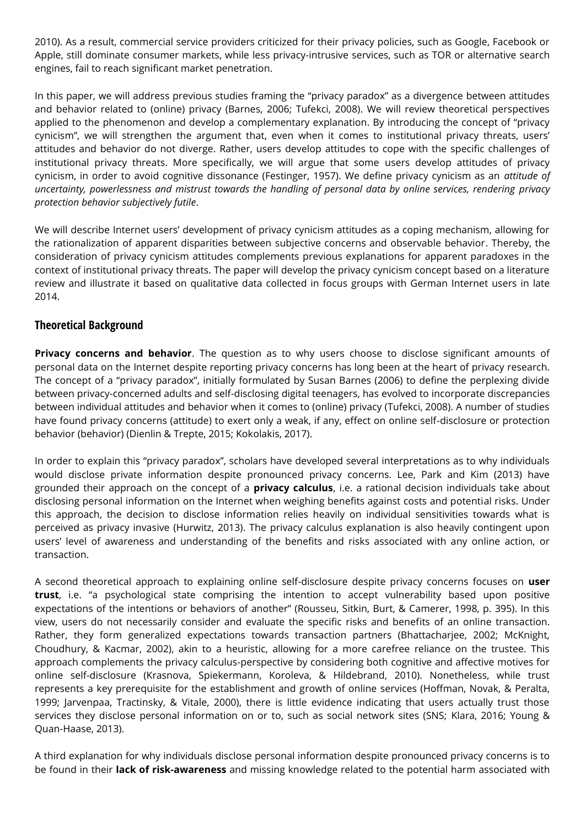2010). As a result, commercial service providers criticized for their privacy policies, such as Google, Facebook or Apple, still dominate consumer markets, while less privacy-intrusive services, such as TOR or alternative search engines, fail to reach significant market penetration.

In this paper, we will address previous studies framing the "privacy paradox" as a divergence between attitudes and behavior related to (online) privacy (Barnes, 2006; Tufekci, 2008). We will review theoretical perspectives applied to the phenomenon and develop a complementary explanation. By introducing the concept of "privacy cynicism", we will strengthen the argument that, even when it comes to institutional privacy threats, users' attitudes and behavior do not diverge. Rather, users develop attitudes to cope with the specific challenges of institutional privacy threats. More specifically, we will argue that some users develop attitudes of privacy cynicism, in order to avoid cognitive dissonance (Festinger, 1957). We define privacy cynicism as an *attitude of uncertainty, powerlessness and mistrust towards the handling of personal data by online services, rendering privacy protection behavior subjectively futile*.

We will describe Internet users' development of privacy cynicism attitudes as a coping mechanism, allowing for the rationalization of apparent disparities between subjective concerns and observable behavior. Thereby, the consideration of privacy cynicism attitudes complements previous explanations for apparent paradoxes in the context of institutional privacy threats. The paper will develop the privacy cynicism concept based on a literature review and illustrate it based on qualitative data collected in focus groups with German Internet users in late 2014.

#### **Theoretical Background**

**Privacy concerns and behavior**. The question as to why users choose to disclose significant amounts of personal data on the Internet despite reporting privacy concerns has long been at the heart of privacy research. The concept of a "privacy paradox", initially formulated by Susan Barnes (2006) to define the perplexing divide between privacy-concerned adults and self-disclosing digital teenagers, has evolved to incorporate discrepancies between individual attitudes and behavior when it comes to (online) privacy (Tufekci, 2008). A number of studies have found privacy concerns (attitude) to exert only a weak, if any, effect on online self-disclosure or protection behavior (behavior) (Dienlin & Trepte, 2015; Kokolakis, 2017).

In order to explain this "privacy paradox", scholars have developed several interpretations as to why individuals would disclose private information despite pronounced privacy concerns. Lee, Park and Kim (2013) have grounded their approach on the concept of a **privacy calculus**, i.e. a rational decision individuals take about disclosing personal information on the Internet when weighing benefits against costs and potential risks. Under this approach, the decision to disclose information relies heavily on individual sensitivities towards what is perceived as privacy invasive (Hurwitz, 2013). The privacy calculus explanation is also heavily contingent upon users' level of awareness and understanding of the benefits and risks associated with any online action, or transaction.

A second theoretical approach to explaining online self-disclosure despite privacy concerns focuses on **user trust**, i.e. "a psychological state comprising the intention to accept vulnerability based upon positive expectations of the intentions or behaviors of another" (Rousseu, Sitkin, Burt, & Camerer, 1998, p. 395). In this view, users do not necessarily consider and evaluate the specific risks and benefits of an online transaction. Rather, they form generalized expectations towards transaction partners (Bhattacharjee, 2002; McKnight, Choudhury, & Kacmar, 2002), akin to a heuristic, allowing for a more carefree reliance on the trustee. This approach complements the privacy calculus-perspective by considering both cognitive and affective motives for online self-disclosure (Krasnova, Spiekermann, Koroleva, & Hildebrand, 2010). Nonetheless, while trust represents a key prerequisite for the establishment and growth of online services (Hoffman, Novak, & Peralta, 1999; Jarvenpaa, Tractinsky, & Vitale, 2000), there is little evidence indicating that users actually trust those services they disclose personal information on or to, such as social network sites (SNS; Klara, 2016; Young & Quan-Haase, 2013).

A third explanation for why individuals disclose personal information despite pronounced privacy concerns is to be found in their **lack of risk-awareness** and missing knowledge related to the potential harm associated with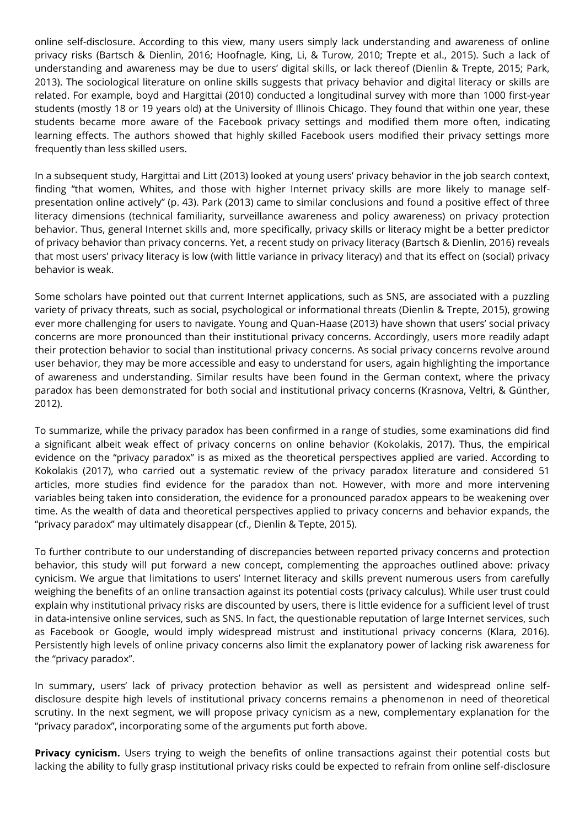online self-disclosure. According to this view, many users simply lack understanding and awareness of online privacy risks (Bartsch & Dienlin, 2016; Hoofnagle, King, Li, & Turow, 2010; Trepte et al., 2015). Such a lack of understanding and awareness may be due to users' digital skills, or lack thereof (Dienlin & Trepte, 2015; Park, 2013). The sociological literature on online skills suggests that privacy behavior and digital literacy or skills are related. For example, boyd and Hargittai (2010) conducted a longitudinal survey with more than 1000 first-year students (mostly 18 or 19 years old) at the University of Illinois Chicago. They found that within one year, these students became more aware of the Facebook privacy settings and modified them more often, indicating learning effects. The authors showed that highly skilled Facebook users modified their privacy settings more frequently than less skilled users.

In a subsequent study, Hargittai and Litt (2013) looked at young users' privacy behavior in the job search context, finding "that women, Whites, and those with higher Internet privacy skills are more likely to manage selfpresentation online actively" (p. 43). Park (2013) came to similar conclusions and found a positive effect of three literacy dimensions (technical familiarity, surveillance awareness and policy awareness) on privacy protection behavior. Thus, general Internet skills and, more specifically, privacy skills or literacy might be a better predictor of privacy behavior than privacy concerns. Yet, a recent study on privacy literacy (Bartsch & Dienlin, 2016) reveals that most users' privacy literacy is low (with little variance in privacy literacy) and that its effect on (social) privacy behavior is weak.

Some scholars have pointed out that current Internet applications, such as SNS, are associated with a puzzling variety of privacy threats, such as social, psychological or informational threats (Dienlin & Trepte, 2015), growing ever more challenging for users to navigate. Young and Quan-Haase (2013) have shown that users' social privacy concerns are more pronounced than their institutional privacy concerns. Accordingly, users more readily adapt their protection behavior to social than institutional privacy concerns. As social privacy concerns revolve around user behavior, they may be more accessible and easy to understand for users, again highlighting the importance of awareness and understanding. Similar results have been found in the German context, where the privacy paradox has been demonstrated for both social and institutional privacy concerns (Krasnova, Veltri, & Günther, 2012).

To summarize, while the privacy paradox has been confirmed in a range of studies, some examinations did find a significant albeit weak effect of privacy concerns on online behavior (Kokolakis, 2017). Thus, the empirical evidence on the "privacy paradox" is as mixed as the theoretical perspectives applied are varied. According to Kokolakis (2017), who carried out a systematic review of the privacy paradox literature and considered 51 articles, more studies find evidence for the paradox than not. However, with more and more intervening variables being taken into consideration, the evidence for a pronounced paradox appears to be weakening over time. As the wealth of data and theoretical perspectives applied to privacy concerns and behavior expands, the "privacy paradox" may ultimately disappear (cf., Dienlin & Tepte, 2015).

To further contribute to our understanding of discrepancies between reported privacy concerns and protection behavior, this study will put forward a new concept, complementing the approaches outlined above: privacy cynicism. We argue that limitations to users' Internet literacy and skills prevent numerous users from carefully weighing the benefits of an online transaction against its potential costs (privacy calculus). While user trust could explain why institutional privacy risks are discounted by users, there is little evidence for a sufficient level of trust in data-intensive online services, such as SNS. In fact, the questionable reputation of large Internet services, such as Facebook or Google, would imply widespread mistrust and institutional privacy concerns (Klara, 2016). Persistently high levels of online privacy concerns also limit the explanatory power of lacking risk awareness for the "privacy paradox".

In summary, users' lack of privacy protection behavior as well as persistent and widespread online selfdisclosure despite high levels of institutional privacy concerns remains a phenomenon in need of theoretical scrutiny. In the next segment, we will propose privacy cynicism as a new, complementary explanation for the "privacy paradox", incorporating some of the arguments put forth above.

**Privacy cynicism.** Users trying to weigh the benefits of online transactions against their potential costs but lacking the ability to fully grasp institutional privacy risks could be expected to refrain from online self-disclosure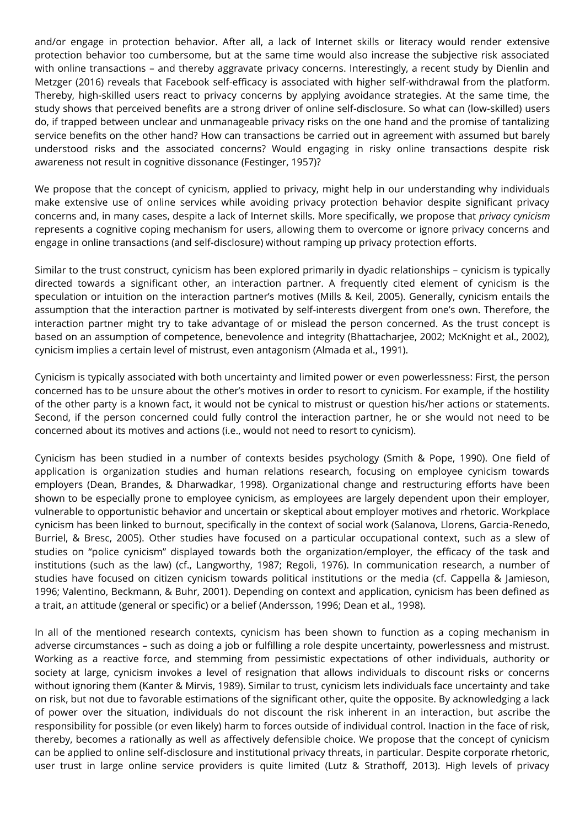and/or engage in protection behavior. After all, a lack of Internet skills or literacy would render extensive protection behavior too cumbersome, but at the same time would also increase the subjective risk associated with online transactions – and thereby aggravate privacy concerns. Interestingly, a recent study by Dienlin and Metzger (2016) reveals that Facebook self-efficacy is associated with higher self-withdrawal from the platform. Thereby, high-skilled users react to privacy concerns by applying avoidance strategies. At the same time, the study shows that perceived benefits are a strong driver of online self-disclosure. So what can (low-skilled) users do, if trapped between unclear and unmanageable privacy risks on the one hand and the promise of tantalizing service benefits on the other hand? How can transactions be carried out in agreement with assumed but barely understood risks and the associated concerns? Would engaging in risky online transactions despite risk awareness not result in cognitive dissonance (Festinger, 1957)?

We propose that the concept of cynicism, applied to privacy, might help in our understanding why individuals make extensive use of online services while avoiding privacy protection behavior despite significant privacy concerns and, in many cases, despite a lack of Internet skills. More specifically, we propose that *privacy cynicism* represents a cognitive coping mechanism for users, allowing them to overcome or ignore privacy concerns and engage in online transactions (and self-disclosure) without ramping up privacy protection efforts.

Similar to the trust construct, cynicism has been explored primarily in dyadic relationships – cynicism is typically directed towards a significant other, an interaction partner. A frequently cited element of cynicism is the speculation or intuition on the interaction partner's motives (Mills & Keil, 2005). Generally, cynicism entails the assumption that the interaction partner is motivated by self-interests divergent from one's own. Therefore, the interaction partner might try to take advantage of or mislead the person concerned. As the trust concept is based on an assumption of competence, benevolence and integrity (Bhattacharjee, 2002; McKnight et al., 2002), cynicism implies a certain level of mistrust, even antagonism (Almada et al., 1991).

Cynicism is typically associated with both uncertainty and limited power or even powerlessness: First, the person concerned has to be unsure about the other's motives in order to resort to cynicism. For example, if the hostility of the other party is a known fact, it would not be cynical to mistrust or question his/her actions or statements. Second, if the person concerned could fully control the interaction partner, he or she would not need to be concerned about its motives and actions (i.e., would not need to resort to cynicism).

Cynicism has been studied in a number of contexts besides psychology (Smith & Pope, 1990). One field of application is organization studies and human relations research, focusing on employee cynicism towards employers (Dean, Brandes, & Dharwadkar, 1998). Organizational change and restructuring efforts have been shown to be especially prone to employee cynicism, as employees are largely dependent upon their employer, vulnerable to opportunistic behavior and uncertain or skeptical about employer motives and rhetoric. Workplace cynicism has been linked to burnout, specifically in the context of social work (Salanova, Llorens, Garcia-Renedo, Burriel, & Bresc, 2005). Other studies have focused on a particular occupational context, such as a slew of studies on "police cynicism" displayed towards both the organization/employer, the efficacy of the task and institutions (such as the law) (cf., Langworthy, 1987; Regoli, 1976). In communication research, a number of studies have focused on citizen cynicism towards political institutions or the media (cf. Cappella & Jamieson, 1996; Valentino, Beckmann, & Buhr, 2001). Depending on context and application, cynicism has been defined as a trait, an attitude (general or specific) or a belief (Andersson, 1996; Dean et al., 1998).

In all of the mentioned research contexts, cynicism has been shown to function as a coping mechanism in adverse circumstances – such as doing a job or fulfilling a role despite uncertainty, powerlessness and mistrust. Working as a reactive force, and stemming from pessimistic expectations of other individuals, authority or society at large, cynicism invokes a level of resignation that allows individuals to discount risks or concerns without ignoring them (Kanter & Mirvis, 1989). Similar to trust, cynicism lets individuals face uncertainty and take on risk, but not due to favorable estimations of the significant other, quite the opposite. By acknowledging a lack of power over the situation, individuals do not discount the risk inherent in an interaction, but ascribe the responsibility for possible (or even likely) harm to forces outside of individual control. Inaction in the face of risk, thereby, becomes a rationally as well as affectively defensible choice. We propose that the concept of cynicism can be applied to online self-disclosure and institutional privacy threats, in particular. Despite corporate rhetoric, user trust in large online service providers is quite limited (Lutz & Strathoff, 2013). High levels of privacy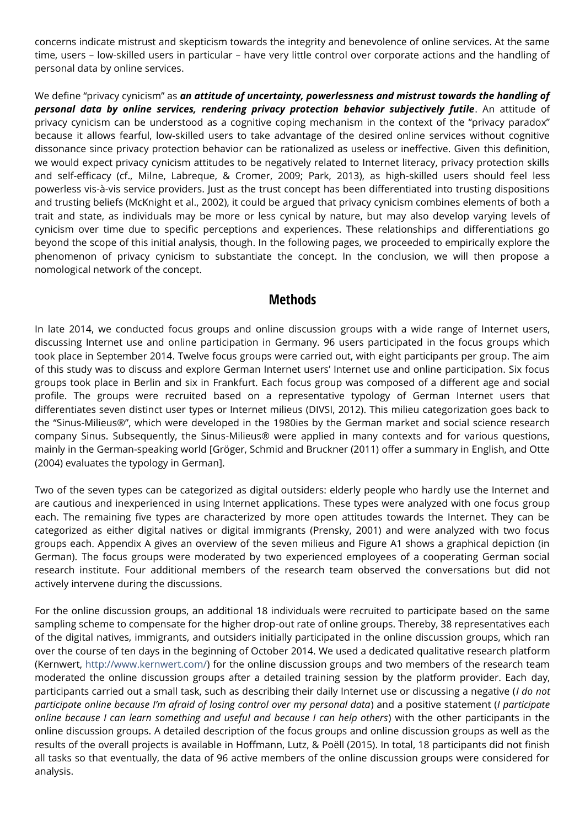concerns indicate mistrust and skepticism towards the integrity and benevolence of online services. At the same time, users – low-skilled users in particular – have very little control over corporate actions and the handling of personal data by online services.

We define "privacy cynicism" as *an attitude of uncertainty, powerlessness and mistrust towards the handling of personal data by online services, rendering privacy protection behavior subjectively futile*. An attitude of privacy cynicism can be understood as a cognitive coping mechanism in the context of the "privacy paradox" because it allows fearful, low-skilled users to take advantage of the desired online services without cognitive dissonance since privacy protection behavior can be rationalized as useless or ineffective. Given this definition, we would expect privacy cynicism attitudes to be negatively related to Internet literacy, privacy protection skills and self-efficacy (cf., Milne, Labreque, & Cromer, 2009; Park, 2013), as high-skilled users should feel less powerless vis-à-vis service providers. Just as the trust concept has been differentiated into trusting dispositions and trusting beliefs (McKnight et al., 2002), it could be argued that privacy cynicism combines elements of both a trait and state, as individuals may be more or less cynical by nature, but may also develop varying levels of cynicism over time due to specific perceptions and experiences. These relationships and differentiations go beyond the scope of this initial analysis, though. In the following pages, we proceeded to empirically explore the phenomenon of privacy cynicism to substantiate the concept. In the conclusion, we will then propose a nomological network of the concept.

# **Methods**

In late 2014, we conducted focus groups and online discussion groups with a wide range of Internet users, discussing Internet use and online participation in Germany. 96 users participated in the focus groups which took place in September 2014. Twelve focus groups were carried out, with eight participants per group. The aim of this study was to discuss and explore German Internet users' Internet use and online participation. Six focus groups took place in Berlin and six in Frankfurt. Each focus group was composed of a different age and social profile. The groups were recruited based on a representative typology of German Internet users that differentiates seven distinct user types or Internet milieus (DIVSI, 2012). This milieu categorization goes back to the "Sinus-Milieus®", which were developed in the 1980ies by the German market and social science research company Sinus. Subsequently, the Sinus-Milieus® were applied in many contexts and for various questions, mainly in the German-speaking world [Gröger, Schmid and Bruckner (2011) offer a summary in English, and Otte (2004) evaluates the typology in German].

Two of the seven types can be categorized as digital outsiders: elderly people who hardly use the Internet and are cautious and inexperienced in using Internet applications. These types were analyzed with one focus group each. The remaining five types are characterized by more open attitudes towards the Internet. They can be categorized as either digital natives or digital immigrants (Prensky, 2001) and were analyzed with two focus groups each. Appendix A gives an overview of the seven milieus and Figure A1 shows a graphical depiction (in German). The focus groups were moderated by two experienced employees of a cooperating German social research institute. Four additional members of the research team observed the conversations but did not actively intervene during the discussions.

For the online discussion groups, an additional 18 individuals were recruited to participate based on the same sampling scheme to compensate for the higher drop-out rate of online groups. Thereby, 38 representatives each of the digital natives, immigrants, and outsiders initially participated in the online discussion groups, which ran over the course of ten days in the beginning of October 2014. We used a dedicated qualitative research platform (Kernwert, [http://www.kernwert.com/\)](http://www.kernwert.com/) for the online discussion groups and two members of the research team moderated the online discussion groups after a detailed training session by the platform provider. Each day, participants carried out a small task, such as describing their daily Internet use or discussing a negative (*I do not participate online because I'm afraid of losing control over my personal data*) and a positive statement (*I participate online because I can learn something and useful and because I can help others*) with the other participants in the online discussion groups. A detailed description of the focus groups and online discussion groups as well as the results of the overall projects is available in Hoffmann, Lutz, & Poëll (2015). In total, 18 participants did not finish all tasks so that eventually, the data of 96 active members of the online discussion groups were considered for analysis.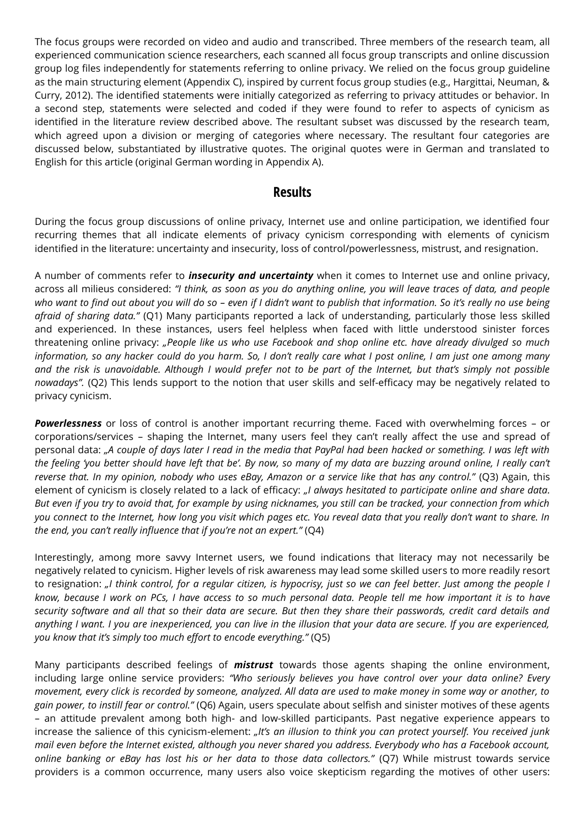The focus groups were recorded on video and audio and transcribed. Three members of the research team, all experienced communication science researchers, each scanned all focus group transcripts and online discussion group log files independently for statements referring to online privacy. We relied on the focus group guideline as the main structuring element (Appendix C), inspired by current focus group studies (e.g., Hargittai, Neuman, & Curry, 2012). The identified statements were initially categorized as referring to privacy attitudes or behavior. In a second step, statements were selected and coded if they were found to refer to aspects of cynicism as identified in the literature review described above. The resultant subset was discussed by the research team, which agreed upon a division or merging of categories where necessary. The resultant four categories are discussed below, substantiated by illustrative quotes. The original quotes were in German and translated to English for this article (original German wording in Appendix A).

### **Results**

During the focus group discussions of online privacy, Internet use and online participation, we identified four recurring themes that all indicate elements of privacy cynicism corresponding with elements of cynicism identified in the literature: uncertainty and insecurity, loss of control/powerlessness, mistrust, and resignation.

A number of comments refer to *insecurity and uncertainty* when it comes to Internet use and online privacy, across all milieus considered: *"I think, as soon as you do anything online, you will leave traces of data, and people who want to find out about you will do so – even if I didn't want to publish that information. So it's really no use being afraid of sharing data."* (Q1) Many participants reported a lack of understanding, particularly those less skilled and experienced. In these instances, users feel helpless when faced with little understood sinister forces threatening online privacy: *"People like us who use Facebook and shop online etc. have already divulged so much information, so any hacker could do you harm. So, I don't really care what I post online, I am just one among many and the risk is unavoidable. Although I would prefer not to be part of the Internet, but that's simply not possible nowadays".* (Q2) This lends support to the notion that user skills and self-efficacy may be negatively related to privacy cynicism.

*Powerlessness* or loss of control is another important recurring theme. Faced with overwhelming forces – or corporations/services – shaping the Internet, many users feel they can't really affect the use and spread of personal data: *"A couple of days later I read in the media that PayPal had been hacked or something. I was left with the feeling 'you better should have left that be'. By now, so many of my data are buzzing around online, I really can't reverse that. In my opinion, nobody who uses eBay, Amazon or a service like that has any control."* (Q3) Again, this element of cynicism is closely related to a lack of efficacy: "I always hesitated to participate online and share data. *But even if you try to avoid that, for example by using nicknames, you still can be tracked, your connection from which you connect to the Internet, how long you visit which pages etc. You reveal data that you really don't want to share. In the end, you can't really influence that if you're not an expert."* (Q4)

Interestingly, among more savvy Internet users, we found indications that literacy may not necessarily be negatively related to cynicism. Higher levels of risk awareness may lead some skilled users to more readily resort to resignation: *"I think control, for a regular citizen, is hypocrisy, just so we can feel better. Just among the people I know, because I work on PCs, I have access to so much personal data. People tell me how important it is to have security software and all that so their data are secure. But then they share their passwords, credit card details and anything I want. I you are inexperienced, you can live in the illusion that your data are secure. If you are experienced, you know that it's simply too much effort to encode everything."* (Q5)

Many participants described feelings of *mistrust* towards those agents shaping the online environment, including large online service providers: *"Who seriously believes you have control over your data online? Every movement, every click is recorded by someone, analyzed. All data are used to make money in some way or another, to gain power, to instill fear or control."* (Q6) Again, users speculate about selfish and sinister motives of these agents – an attitude prevalent among both high- and low-skilled participants. Past negative experience appears to increase the salience of this cynicism-element: *"It's an illusion to think you can protect yourself. You received junk mail even before the Internet existed, although you never shared you address. Everybody who has a Facebook account, online banking or eBay has lost his or her data to those data collectors."* (Q7) While mistrust towards service providers is a common occurrence, many users also voice skepticism regarding the motives of other users: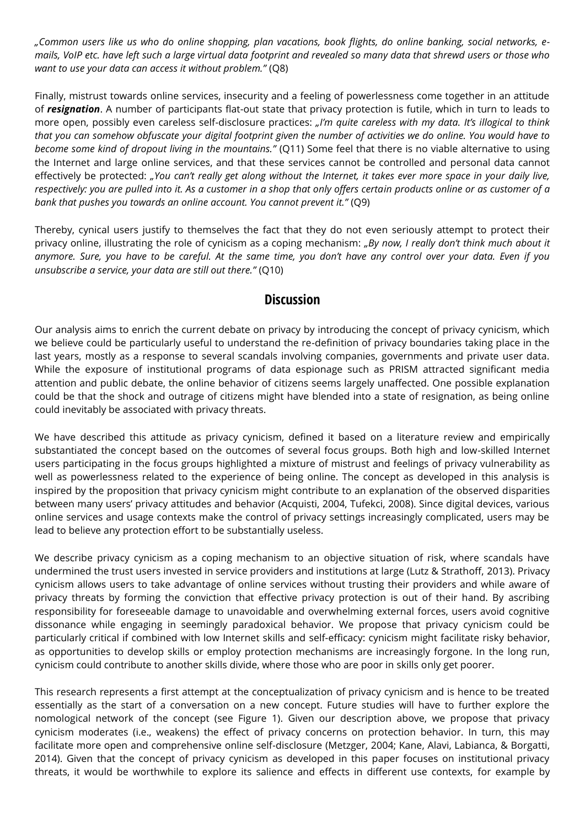*"Common users like us who do online shopping, plan vacations, book flights, do online banking, social networks, emails, VoIP etc. have left such a large virtual data footprint and revealed so many data that shrewd users or those who want to use your data can access it without problem."* (Q8)

Finally, mistrust towards online services, insecurity and a feeling of powerlessness come together in an attitude of *resignation*. A number of participants flat-out state that privacy protection is futile, which in turn to leads to more open, possibly even careless self-disclosure practices: "I'm quite careless with my data. It's illogical to think *that you can somehow obfuscate your digital footprint given the number of activities we do online. You would have to become some kind of dropout living in the mountains."* (Q11) Some feel that there is no viable alternative to using the Internet and large online services, and that these services cannot be controlled and personal data cannot effectively be protected: *"You can't really get along without the Internet, it takes ever more space in your daily live, respectively: you are pulled into it. As a customer in a shop that only offers certain products online or as customer of a bank that pushes you towards an online account. You cannot prevent it."* (Q9)

Thereby, cynical users justify to themselves the fact that they do not even seriously attempt to protect their privacy online, illustrating the role of cynicism as a coping mechanism: "By now, I really don't think much about it *anymore. Sure, you have to be careful. At the same time, you don't have any control over your data. Even if you unsubscribe a service, your data are still out there."* (Q10)

# **Discussion**

Our analysis aims to enrich the current debate on privacy by introducing the concept of privacy cynicism, which we believe could be particularly useful to understand the re-definition of privacy boundaries taking place in the last years, mostly as a response to several scandals involving companies, governments and private user data. While the exposure of institutional programs of data espionage such as PRISM attracted significant media attention and public debate, the online behavior of citizens seems largely unaffected. One possible explanation could be that the shock and outrage of citizens might have blended into a state of resignation, as being online could inevitably be associated with privacy threats.

We have described this attitude as privacy cynicism, defined it based on a literature review and empirically substantiated the concept based on the outcomes of several focus groups. Both high and low-skilled Internet users participating in the focus groups highlighted a mixture of mistrust and feelings of privacy vulnerability as well as powerlessness related to the experience of being online. The concept as developed in this analysis is inspired by the proposition that privacy cynicism might contribute to an explanation of the observed disparities between many users' privacy attitudes and behavior (Acquisti, 2004, Tufekci, 2008). Since digital devices, various online services and usage contexts make the control of privacy settings increasingly complicated, users may be lead to believe any protection effort to be substantially useless.

We describe privacy cynicism as a coping mechanism to an objective situation of risk, where scandals have undermined the trust users invested in service providers and institutions at large (Lutz & Strathoff, 2013). Privacy cynicism allows users to take advantage of online services without trusting their providers and while aware of privacy threats by forming the conviction that effective privacy protection is out of their hand. By ascribing responsibility for foreseeable damage to unavoidable and overwhelming external forces, users avoid cognitive dissonance while engaging in seemingly paradoxical behavior. We propose that privacy cynicism could be particularly critical if combined with low Internet skills and self-efficacy: cynicism might facilitate risky behavior, as opportunities to develop skills or employ protection mechanisms are increasingly forgone. In the long run, cynicism could contribute to another skills divide, where those who are poor in skills only get poorer.

This research represents a first attempt at the conceptualization of privacy cynicism and is hence to be treated essentially as the start of a conversation on a new concept. Future studies will have to further explore the nomological network of the concept (see Figure 1). Given our description above, we propose that privacy cynicism moderates (i.e., weakens) the effect of privacy concerns on protection behavior. In turn, this may facilitate more open and comprehensive online self-disclosure (Metzger, 2004; Kane, Alavi, Labianca, & Borgatti, 2014). Given that the concept of privacy cynicism as developed in this paper focuses on institutional privacy threats, it would be worthwhile to explore its salience and effects in different use contexts, for example by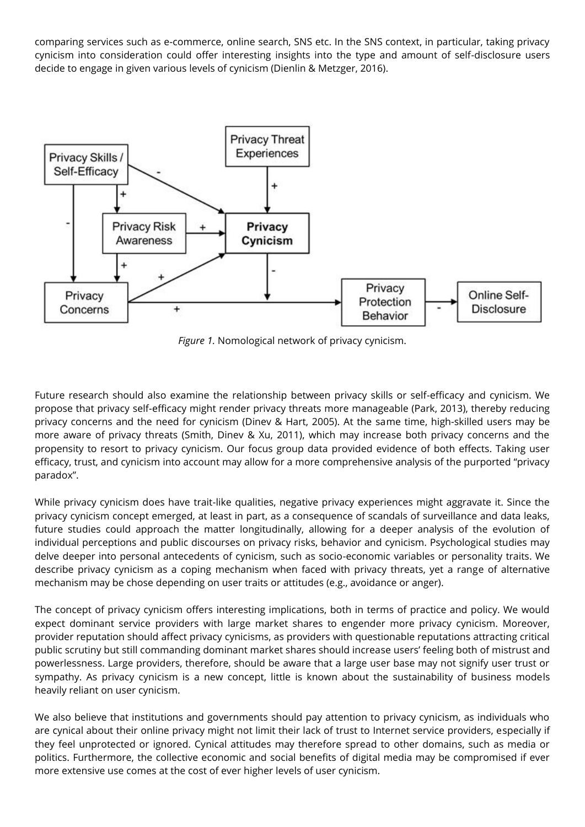comparing services such as e-commerce, online search, SNS etc. In the SNS context, in particular, taking privacy cynicism into consideration could offer interesting insights into the type and amount of self-disclosure users decide to engage in given various levels of cynicism (Dienlin & Metzger, 2016).



*Figure 1.* Nomological network of privacy cynicism.

Future research should also examine the relationship between privacy skills or self-efficacy and cynicism. We propose that privacy self-efficacy might render privacy threats more manageable (Park, 2013), thereby reducing privacy concerns and the need for cynicism (Dinev & Hart, 2005). At the same time, high-skilled users may be more aware of privacy threats (Smith, Dinev & Xu, 2011), which may increase both privacy concerns and the propensity to resort to privacy cynicism. Our focus group data provided evidence of both effects. Taking user efficacy, trust, and cynicism into account may allow for a more comprehensive analysis of the purported "privacy paradox".

While privacy cynicism does have trait-like qualities, negative privacy experiences might aggravate it. Since the privacy cynicism concept emerged, at least in part, as a consequence of scandals of surveillance and data leaks, future studies could approach the matter longitudinally, allowing for a deeper analysis of the evolution of individual perceptions and public discourses on privacy risks, behavior and cynicism. Psychological studies may delve deeper into personal antecedents of cynicism, such as socio-economic variables or personality traits. We describe privacy cynicism as a coping mechanism when faced with privacy threats, yet a range of alternative mechanism may be chose depending on user traits or attitudes (e.g., avoidance or anger).

The concept of privacy cynicism offers interesting implications, both in terms of practice and policy. We would expect dominant service providers with large market shares to engender more privacy cynicism. Moreover, provider reputation should affect privacy cynicisms, as providers with questionable reputations attracting critical public scrutiny but still commanding dominant market shares should increase users' feeling both of mistrust and powerlessness. Large providers, therefore, should be aware that a large user base may not signify user trust or sympathy. As privacy cynicism is a new concept, little is known about the sustainability of business models heavily reliant on user cynicism.

We also believe that institutions and governments should pay attention to privacy cynicism, as individuals who are cynical about their online privacy might not limit their lack of trust to Internet service providers, especially if they feel unprotected or ignored. Cynical attitudes may therefore spread to other domains, such as media or politics. Furthermore, the collective economic and social benefits of digital media may be compromised if ever more extensive use comes at the cost of ever higher levels of user cynicism.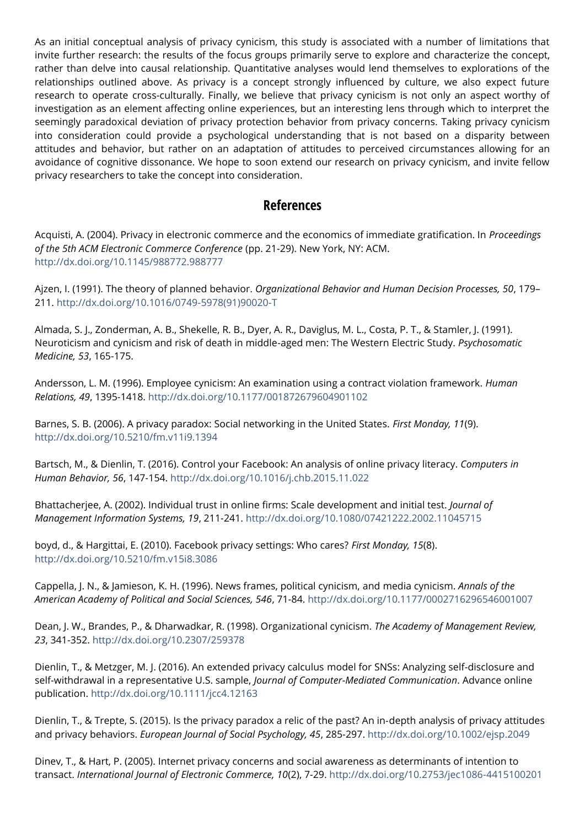As an initial conceptual analysis of privacy cynicism, this study is associated with a number of limitations that invite further research: the results of the focus groups primarily serve to explore and characterize the concept, rather than delve into causal relationship. Quantitative analyses would lend themselves to explorations of the relationships outlined above. As privacy is a concept strongly influenced by culture, we also expect future research to operate cross-culturally. Finally, we believe that privacy cynicism is not only an aspect worthy of investigation as an element affecting online experiences, but an interesting lens through which to interpret the seemingly paradoxical deviation of privacy protection behavior from privacy concerns. Taking privacy cynicism into consideration could provide a psychological understanding that is not based on a disparity between attitudes and behavior, but rather on an adaptation of attitudes to perceived circumstances allowing for an avoidance of cognitive dissonance. We hope to soon extend our research on privacy cynicism, and invite fellow privacy researchers to take the concept into consideration.

## **References**

Acquisti, A. (2004). Privacy in electronic commerce and the economics of immediate gratification. In *Proceedings of the 5th ACM Electronic Commerce Conference* (pp. 21-29). New York, NY: ACM. <http://dx.doi.org/10.1145/988772.988777>

Ajzen, I. (1991). The theory of planned behavior. *Organizational Behavior and Human Decision Processes, 50*, 179– 211. [http://dx.doi.org/10.1016/0749-5978\(91\)90020-T](http://dx.doi.org/10.1016/0749-5978%2891%2990020-T)

Almada, S. J., Zonderman, A. B., Shekelle, R. B., Dyer, A. R., Daviglus, M. L., Costa, P. T., & Stamler, J. (1991). Neuroticism and cynicism and risk of death in middle-aged men: The Western Electric Study. *Psychosomatic Medicine, 53*, 165-175.

Andersson, L. M. (1996). Employee cynicism: An examination using a contract violation framework. *Human Relations, 49*, 1395-1418.<http://dx.doi.org/10.1177/001872679604901102>

Barnes, S. B. (2006). A privacy paradox: Social networking in the United States. *First Monday, 11*(9). <http://dx.doi.org/10.5210/fm.v11i9.1394>

Bartsch, M., & Dienlin, T. (2016). Control your Facebook: An analysis of online privacy literacy. *Computers in Human Behavior, 56*, 147-154.<http://dx.doi.org/10.1016/j.chb.2015.11.022>

Bhattacherjee, A. (2002). Individual trust in online firms: Scale development and initial test. *Journal of Management Information Systems, 19*, 211-241.<http://dx.doi.org/10.1080/07421222.2002.11045715>

boyd, d., & Hargittai, E. (2010). Facebook privacy settings: Who cares? *First Monday, 15*(8). <http://dx.doi.org/10.5210/fm.v15i8.3086>

Cappella, J. N., & Jamieson, K. H. (1996). News frames, political cynicism, and media cynicism. *Annals of the American Academy of Political and Social Sciences, 546*, 71-84.<http://dx.doi.org/10.1177/0002716296546001007>

Dean, J. W., Brandes, P., & Dharwadkar, R. (1998). Organizational cynicism. *The Academy of Management Review, 23*, 341-352.<http://dx.doi.org/10.2307/259378>

Dienlin, T., & Metzger, M. J. (2016). An extended privacy calculus model for SNSs: Analyzing self-disclosure and self-withdrawal in a representative U.S. sample, *Journal of Computer-Mediated Communication*. Advance online publication.<http://dx.doi.org/10.1111/jcc4.12163>

Dienlin, T., & Trepte, S. (2015). Is the privacy paradox a relic of the past? An in‐depth analysis of privacy attitudes and privacy behaviors. *European Journal of Social Psychology, 45*, 285-297.<http://dx.doi.org/10.1002/ejsp.2049>

Dinev, T., & Hart, P. (2005). Internet privacy concerns and social awareness as determinants of intention to transact. *International Journal of Electronic Commerce, 10*(2), 7-29.<http://dx.doi.org/10.2753/jec1086-4415100201>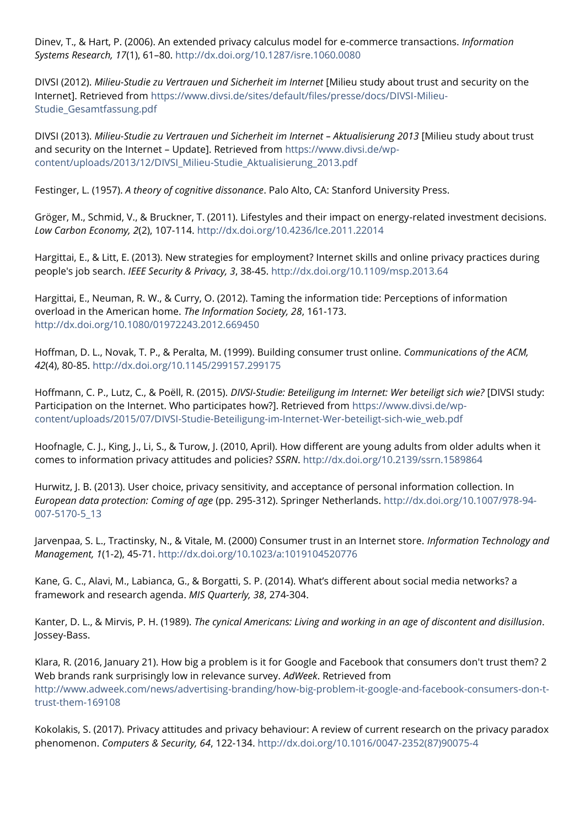Dinev, T., & Hart, P. (2006). An extended privacy calculus model for e-commerce transactions. *Information Systems Research, 17*(1), 61–80.<http://dx.doi.org/10.1287/isre.1060.0080>

DIVSI (2012). *Milieu-Studie zu Vertrauen und Sicherheit im Internet* [Milieu study about trust and security on the Internet]. Retrieved from [https://www.divsi.de/sites/default/files/presse/docs/DIVSI-Milieu-](https://www.divsi.de/sites/default/files/presse/docs/DIVSI-Milieu-Studie_Gesamtfassung.pdf)[Studie\\_Gesamtfassung.pdf](https://www.divsi.de/sites/default/files/presse/docs/DIVSI-Milieu-Studie_Gesamtfassung.pdf)

DIVSI (2013). *Milieu-Studie zu Vertrauen und Sicherheit im Internet - Aktualisierung 2013* [Milieu study about trust and security on the Internet – Update]. Retrieved from [https://www.divsi.de/wp](https://www.divsi.de/wp-content/uploads/2013/12/DIVSI_Milieu-Studie_Aktualisierung_2013.pdf)[content/uploads/2013/12/DIVSI\\_Milieu-Studie\\_Aktualisierung\\_2013.pdf](https://www.divsi.de/wp-content/uploads/2013/12/DIVSI_Milieu-Studie_Aktualisierung_2013.pdf)

Festinger, L. (1957). *A theory of cognitive dissonance*. Palo Alto, CA: Stanford University Press.

Gröger, M., Schmid, V., & Bruckner, T. (2011). Lifestyles and their impact on energy-related investment decisions. *Low Carbon Economy, 2*(2), 107-114[. http://dx.doi.org/10.4236/lce.2011.22014](http://dx.doi.org/10.4236/lce.2011.22014)

Hargittai, E., & Litt, E. (2013). New strategies for employment? Internet skills and online privacy practices during people's job search. *IEEE Security & Privacy, 3*, 38-45.<http://dx.doi.org/10.1109/msp.2013.64>

Hargittai, E., Neuman, R. W., & Curry, O. (2012). Taming the information tide: Perceptions of information overload in the American home. *The Information Society, 28*, 161-173. <http://dx.doi.org/10.1080/01972243.2012.669450>

Hoffman, D. L., Novak, T. P., & Peralta, M. (1999). Building consumer trust online. *Communications of the ACM, 42*(4), 80-85.<http://dx.doi.org/10.1145/299157.299175>

Hoffmann, C. P., Lutz, C., & Poëll, R. (2015). *DIVSI-Studie: Beteiligung im Internet: Wer beteiligt sich wie?* [DIVSI study: Participation on the Internet. Who participates how?]. Retrieved from [https://www.divsi.de/wp](https://www.divsi.de/wp-content/uploads/2015/07/DIVSI-Studie-Beteiligung-im-Internet-Wer-beteiligt-sich-wie_web.pdf)[content/uploads/2015/07/DIVSI-Studie-Beteiligung-im-Internet-Wer-beteiligt-sich-wie\\_web.pdf](https://www.divsi.de/wp-content/uploads/2015/07/DIVSI-Studie-Beteiligung-im-Internet-Wer-beteiligt-sich-wie_web.pdf)

Hoofnagle, C. J., King, J., Li, S., & Turow, J. (2010, April). How different are young adults from older adults when it comes to information privacy attitudes and policies? *SSRN*.<http://dx.doi.org/10.2139/ssrn.1589864>

Hurwitz, J. B. (2013). User choice, privacy sensitivity, and acceptance of personal information collection. In *European data protection: Coming of age* (pp. 295-312). Springer Netherlands[. http://dx.doi.org/10.1007/978-94-](http://dx.doi.org/10.1007/978-94-007-5170-5_13) [007-5170-5\\_13](http://dx.doi.org/10.1007/978-94-007-5170-5_13)

Jarvenpaa, S. L., Tractinsky, N., & Vitale, M. (2000) Consumer trust in an Internet store. *Information Technology and Management, 1*(1-2), 45-71.<http://dx.doi.org/10.1023/a:1019104520776>

Kane, G. C., Alavi, M., Labianca, G., & Borgatti, S. P. (2014). What's different about social media networks? a framework and research agenda. *MIS Quarterly, 38*, 274-304.

Kanter, D. L., & Mirvis, P. H. (1989). *The cynical Americans: Living and working in an age of discontent and disillusion*. Jossey-Bass.

Klara, R. (2016, January 21). How big a problem is it for Google and Facebook that consumers don't trust them? 2 Web brands rank surprisingly low in relevance survey. *AdWeek*. Retrieved from [http://www.adweek.com/news/advertising-branding/how-big-problem-it-google-and-facebook-consumers-don-t](http://www.adweek.com/news/advertising-branding/how-big-problem-it-google-and-facebook-consumers-don-t-trust-them-169108)[trust-them-169108](http://www.adweek.com/news/advertising-branding/how-big-problem-it-google-and-facebook-consumers-don-t-trust-them-169108)

Kokolakis, S. (2017). Privacy attitudes and privacy behaviour: A review of current research on the privacy paradox phenomenon. *Computers & Security, 64*, 122-134. [http://dx.doi.org/10.1016/0047-2352\(87\)90075-4](http://dx.doi.org/10.1016/0047-2352%2887%2990075-4)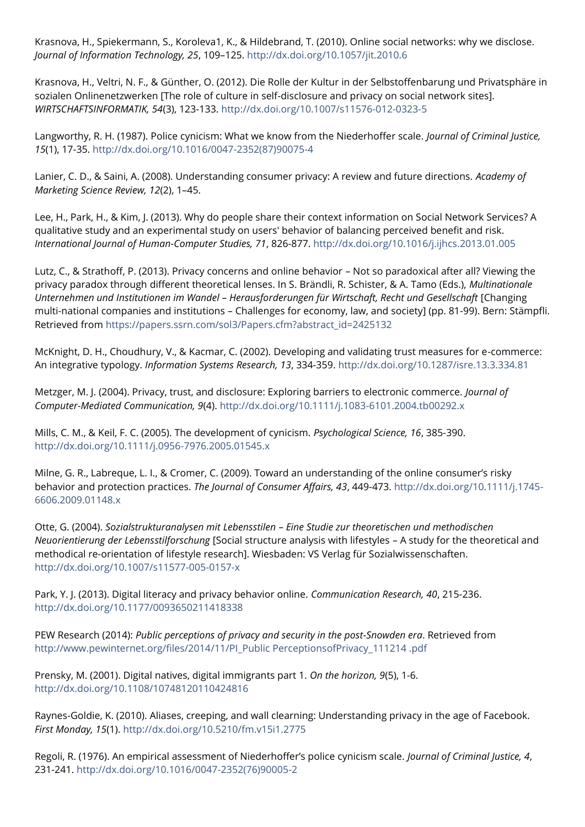Krasnova, H., Spiekermann, S., Koroleva1, K., & Hildebrand, T. (2010). Online social networks: why we disclose. *Journal of Information Technology, 25*, 109–125.<http://dx.doi.org/10.1057/jit.2010.6>

Krasnova, H., Veltri, N. F., & Günther, O. (2012). Die Rolle der Kultur in der Selbstoffenbarung und Privatsphäre in sozialen Onlinenetzwerken [The role of culture in self-disclosure and privacy on social network sites]. *WIRTSCHAFTSINFORMATIK, 54*(3), 123-133.<http://dx.doi.org/10.1007/s11576-012-0323-5>

Langworthy, R. H. (1987). Police cynicism: What we know from the Niederhoffer scale. *Journal of Criminal Justice, 15*(1), 17-35. [http://dx.doi.org/10.1016/0047-2352\(87\)90075-4](http://dx.doi.org/10.1016/0047-2352%2887%2990075-4) 

Lanier, C. D., & Saini, A. (2008). Understanding consumer privacy: A review and future directions. *Academy of Marketing Science Review, 12*(2), 1–45.

Lee, H., Park, H., & Kim, J. (2013). Why do people share their context information on Social Network Services? A qualitative study and an experimental study on users' behavior of balancing perceived benefit and risk. *International Journal of Human-Computer Studies, 71*, 826-877.<http://dx.doi.org/10.1016/j.ijhcs.2013.01.005>

Lutz, C., & Strathoff, P. (2013). Privacy concerns and online behavior – Not so paradoxical after all? Viewing the privacy paradox through different theoretical lenses. In S. Brändli, R. Schister, & A. Tamo (Eds.), *Multinationale Unternehmen und Institutionen im Wandel – Herausforderungen für Wirtschaft, Recht und Gesellschaft* [Changing multi-national companies and institutions – Challenges for economy, law, and society] (pp. 81-99). Bern: Stämpfli. Retrieved from [https://papers.ssrn.com/sol3/Papers.cfm?abstract\\_id=2425132](https://papers.ssrn.com/sol3/Papers.cfm?abstract_id=2425132)

McKnight, D. H., Choudhury, V., & Kacmar, C. (2002). Developing and validating trust measures for e-commerce: An integrative typology. *Information Systems Research, 13*, 334-359.<http://dx.doi.org/10.1287/isre.13.3.334.81>

Metzger, M. J. (2004). Privacy, trust, and disclosure: Exploring barriers to electronic commerce. *Journal of Computer-Mediated Communication, 9*(4).<http://dx.doi.org/10.1111/j.1083-6101.2004.tb00292.x>

Mills, C. M., & Keil, F. C. (2005). The development of cynicism. *Psychological Science, 16*, 385-390. <http://dx.doi.org/10.1111/j.0956-7976.2005.01545.x>

Milne, G. R., Labreque, L. I., & Cromer, C. (2009). Toward an understanding of the online consumer's risky behavior and protection practices. *The Journal of Consumer Affairs, 43*, 449-473. [http://dx.doi.org/10.1111/j.1745-](http://dx.doi.org/10.1111/j.1745-6606.2009.01148.x) [6606.2009.01148.x](http://dx.doi.org/10.1111/j.1745-6606.2009.01148.x)

Otte, G. (2004). *Sozialstrukturanalysen mit Lebensstilen – Eine Studie zur theoretischen und methodischen Neuorientierung der Lebensstilforschung* [Social structure analysis with lifestyles – A study for the theoretical and methodical re-orientation of lifestyle research]. Wiesbaden: VS Verlag für Sozialwissenschaften. <http://dx.doi.org/10.1007/s11577-005-0157-x>

Park, Y. J. (2013). Digital literacy and privacy behavior online. *Communication Research, 40*, 215-236. <http://dx.doi.org/10.1177/0093650211418338>

PEW Research (2014): *Public perceptions of privacy and security in the post-Snowden era*. Retrieved from [http://www.pewinternet.org/files/2014/11/PI\\_Public PerceptionsofPrivacy\\_111214 .pdf](http://www.pewinternet.org/files/2014/11/PI_Public%20PerceptionsofPrivacy_111214%20.pdf)

Prensky, M. (2001). Digital natives, digital immigrants part 1. *On the horizon, 9*(5), 1-6. <http://dx.doi.org/10.1108/10748120110424816>

Raynes-Goldie, K. (2010). Aliases, creeping, and wall clearning: Understanding privacy in the age of Facebook. *First Monday, 15*(1).<http://dx.doi.org/10.5210/fm.v15i1.2775>

Regoli, R. (1976). An empirical assessment of Niederhoffer's police cynicism scale. *Journal of Criminal Justice, 4*, 231-241. [http://dx.doi.org/10.1016/0047-2352\(76\)90005-2](http://dx.doi.org/10.1016/0047-2352%2876%2990005-2)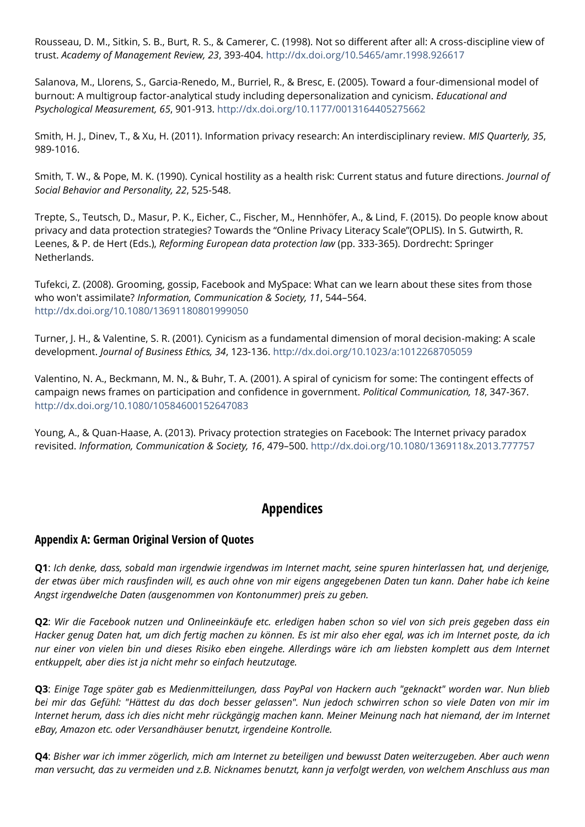Rousseau, D. M., Sitkin, S. B., Burt, R. S., & Camerer, C. (1998). Not so different after all: A cross-discipline view of trust. *Academy of Management Review, 23*, 393-404.<http://dx.doi.org/10.5465/amr.1998.926617>

Salanova, M., Llorens, S., Garcia-Renedo, M., Burriel, R., & Bresc, E. (2005). Toward a four-dimensional model of burnout: A multigroup factor-analytical study including depersonalization and cynicism. *Educational and Psychological Measurement, 65*, 901-913.<http://dx.doi.org/10.1177/0013164405275662>

Smith, H. J., Dinev, T., & Xu, H. (2011). Information privacy research: An interdisciplinary review. *MIS Quarterly, 35*, 989-1016.

Smith, T. W., & Pope, M. K. (1990). Cynical hostility as a health risk: Current status and future directions. *Journal of Social Behavior and Personality, 22*, 525-548.

Trepte, S., Teutsch, D., Masur, P. K., Eicher, C., Fischer, M., Hennhöfer, A., & Lind, F. (2015). Do people know about privacy and data protection strategies? Towards the "Online Privacy Literacy Scale"(OPLIS). In S. Gutwirth, R. Leenes, & P. de Hert (Eds.), *Reforming European data protection law* (pp. 333-365). Dordrecht: Springer Netherlands.

Tufekci, Z. (2008). Grooming, gossip, Facebook and MySpace: What can we learn about these sites from those who won't assimilate? *Information, Communication & Society, 11*, 544–564. <http://dx.doi.org/10.1080/13691180801999050>

Turner, J. H., & Valentine, S. R. (2001). Cynicism as a fundamental dimension of moral decision-making: A scale development. *Journal of Business Ethics, 34*, 123-136.<http://dx.doi.org/10.1023/a:1012268705059>

Valentino, N. A., Beckmann, M. N., & Buhr, T. A. (2001). A spiral of cynicism for some: The contingent effects of campaign news frames on participation and confidence in government. *Political Communication, 18*, 347-367. <http://dx.doi.org/10.1080/10584600152647083>

Young, A., & Quan-Haase, A. (2013). Privacy protection strategies on Facebook: The Internet privacy paradox revisited. *Information, Communication & Society, 16*, 479–500.<http://dx.doi.org/10.1080/1369118x.2013.777757>

# **Appendices**

#### **Appendix A: German Original Version of Quotes**

**Q1**: *Ich denke, dass, sobald man irgendwie irgendwas im Internet macht, seine spuren hinterlassen hat, und derjenige, der etwas über mich rausfinden will, es auch ohne von mir eigens angegebenen Daten tun kann. Daher habe ich keine Angst irgendwelche Daten (ausgenommen von Kontonummer) preis zu geben.* 

**Q2**: *Wir die Facebook nutzen und Onlineeinkäufe etc. erledigen haben schon so viel von sich preis gegeben dass ein Hacker genug Daten hat, um dich fertig machen zu können. Es ist mir also eher egal, was ich im Internet poste, da ich nur einer von vielen bin und dieses Risiko eben eingehe. Allerdings wäre ich am liebsten komplett aus dem Internet entkuppelt, aber dies ist ja nicht mehr so einfach heutzutage.* 

**Q3**: *Einige Tage später gab es Medienmitteilungen, dass PayPal von Hackern auch "geknackt" worden war. Nun blieb bei mir das Gefühl: "Hättest du das doch besser gelassen". Nun jedoch schwirren schon so viele Daten von mir im Internet herum, dass ich dies nicht mehr rückgängig machen kann. Meiner Meinung nach hat niemand, der im Internet eBay, Amazon etc. oder Versandhäuser benutzt, irgendeine Kontrolle.* 

**Q4**: *Bisher war ich immer zögerlich, mich am Internet zu beteiligen und bewusst Daten weiterzugeben. Aber auch wenn man versucht, das zu vermeiden und z.B. Nicknames benutzt, kann ja verfolgt werden, von welchem Anschluss aus man*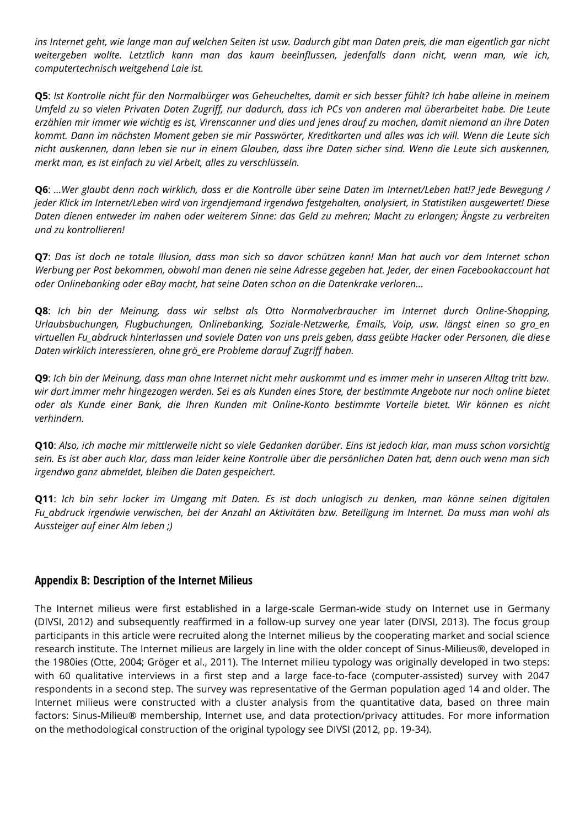*ins Internet geht, wie lange man auf welchen Seiten ist usw. Dadurch gibt man Daten preis, die man eigentlich gar nicht weitergeben wollte. Letztlich kann man das kaum beeinflussen, jedenfalls dann nicht, wenn man, wie ich, computertechnisch weitgehend Laie ist.* 

**Q5**: *Ist Kontrolle nicht für den Normalbürger was Geheucheltes, damit er sich besser fühlt? Ich habe alleine in meinem Umfeld zu so vielen Privaten Daten Zugriff, nur dadurch, dass ich PCs von anderen mal überarbeitet habe. Die Leute erzählen mir immer wie wichtig es ist, Virenscanner und dies und jenes drauf zu machen, damit niemand an ihre Daten kommt. Dann im nächsten Moment geben sie mir Passwörter, Kreditkarten und alles was ich will. Wenn die Leute sich nicht auskennen, dann leben sie nur in einem Glauben, dass ihre Daten sicher sind. Wenn die Leute sich auskennen, merkt man, es ist einfach zu viel Arbeit, alles zu verschlüsseln.* 

**Q6**: *...Wer glaubt denn noch wirklich, dass er die Kontrolle über seine Daten im Internet/Leben hat!? Jede Bewegung / jeder Klick im Internet/Leben wird von irgendjemand irgendwo festgehalten, analysiert, in Statistiken ausgewertet! Diese Daten dienen entweder im nahen oder weiterem Sinne: das Geld zu mehren; Macht zu erlangen; Ängste zu verbreiten und zu kontrollieren!* 

**Q7**: *Das ist doch ne totale Illusion, dass man sich so davor schützen kann! Man hat auch vor dem Internet schon Werbung per Post bekommen, obwohl man denen nie seine Adresse gegeben hat. Jeder, der einen Facebookaccount hat oder Onlinebanking oder eBay macht, hat seine Daten schon an die Datenkrake verloren...* 

**Q8**: *Ich bin der Meinung, dass wir selbst als Otto Normalverbraucher im Internet durch Online-Shopping, Urlaubsbuchungen, Flugbuchungen, Onlinebanking, Soziale-Netzwerke, Emails, Voip, usw. längst einen so gro\_en virtuellen Fu\_abdruck hinterlassen und soviele Daten von uns preis geben, dass geübte Hacker oder Personen, die diese Daten wirklich interessieren, ohne grö\_ere Probleme darauf Zugriff haben.* 

**Q9**: *Ich bin der Meinung, dass man ohne Internet nicht mehr auskommt und es immer mehr in unseren Alltag tritt bzw. wir dort immer mehr hingezogen werden. Sei es als Kunden eines Store, der bestimmte Angebote nur noch online bietet oder als Kunde einer Bank, die Ihren Kunden mit Online-Konto bestimmte Vorteile bietet. Wir können es nicht verhindern.* 

**Q10**: *Also, ich mache mir mittlerweile nicht so viele Gedanken darüber. Eins ist jedoch klar, man muss schon vorsichtig sein. Es ist aber auch klar, dass man leider keine Kontrolle über die persönlichen Daten hat, denn auch wenn man sich irgendwo ganz abmeldet, bleiben die Daten gespeichert.* 

**Q11**: *Ich bin sehr locker im Umgang mit Daten. Es ist doch unlogisch zu denken, man könne seinen digitalen Fu\_abdruck irgendwie verwischen, bei der Anzahl an Aktivitäten bzw. Beteiligung im Internet. Da muss man wohl als Aussteiger auf einer Alm leben ;)* 

#### **Appendix B: Description of the Internet Milieus**

The Internet milieus were first established in a large-scale German-wide study on Internet use in Germany (DIVSI, 2012) and subsequently reaffirmed in a follow-up survey one year later (DIVSI, 2013). The focus group participants in this article were recruited along the Internet milieus by the cooperating market and social science research institute. The Internet milieus are largely in line with the older concept of Sinus-Milieus®, developed in the 1980ies (Otte, 2004; Gröger et al., 2011). The Internet milieu typology was originally developed in two steps: with 60 qualitative interviews in a first step and a large face-to-face (computer-assisted) survey with 2047 respondents in a second step. The survey was representative of the German population aged 14 and older. The Internet milieus were constructed with a cluster analysis from the quantitative data, based on three main factors: Sinus-Milieu® membership, Internet use, and data protection/privacy attitudes. For more information on the methodological construction of the original typology see DIVSI (2012, pp. 19-34).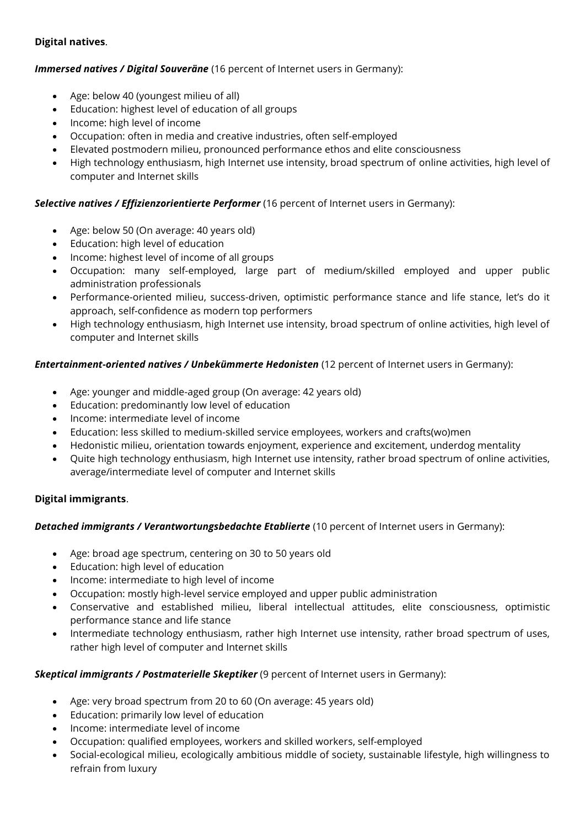#### **Digital natives**.

#### **Immersed natives / Digital Souveräne** (16 percent of Internet users in Germany):

- Age: below 40 (youngest milieu of all)
- Education: highest level of education of all groups
- Income: high level of income
- Occupation: often in media and creative industries, often self-employed
- Elevated postmodern milieu, pronounced performance ethos and elite consciousness
- High technology enthusiasm, high Internet use intensity, broad spectrum of online activities, high level of computer and Internet skills

#### *Selective natives / Effizienzorientierte Performer* (16 percent of Internet users in Germany):

- Age: below 50 (On average: 40 years old)
- Education: high level of education
- Income: highest level of income of all groups
- Occupation: many self-employed, large part of medium/skilled employed and upper public administration professionals
- Performance-oriented milieu, success-driven, optimistic performance stance and life stance, let's do it approach, self-confidence as modern top performers
- High technology enthusiasm, high Internet use intensity, broad spectrum of online activities, high level of computer and Internet skills

#### *Entertainment-oriented natives / Unbekümmerte Hedonisten* (12 percent of Internet users in Germany):

- Age: younger and middle-aged group (On average: 42 years old)
- Education: predominantly low level of education
- Income: intermediate level of income
- Education: less skilled to medium-skilled service employees, workers and crafts(wo)men
- Hedonistic milieu, orientation towards enjoyment, experience and excitement, underdog mentality
- Quite high technology enthusiasm, high Internet use intensity, rather broad spectrum of online activities, average/intermediate level of computer and Internet skills

#### **Digital immigrants**.

#### *Detached immigrants / Verantwortungsbedachte Etablierte* (10 percent of Internet users in Germany):

- Age: broad age spectrum, centering on 30 to 50 years old
- Education: high level of education
- Income: intermediate to high level of income
- Occupation: mostly high-level service employed and upper public administration
- Conservative and established milieu, liberal intellectual attitudes, elite consciousness, optimistic performance stance and life stance
- Intermediate technology enthusiasm, rather high Internet use intensity, rather broad spectrum of uses, rather high level of computer and Internet skills

#### *Skeptical immigrants / Postmaterielle Skeptiker* (9 percent of Internet users in Germany):

- Age: very broad spectrum from 20 to 60 (On average: 45 years old)
- Education: primarily low level of education
- Income: intermediate level of income
- Occupation: qualified employees, workers and skilled workers, self-employed
- Social-ecological milieu, ecologically ambitious middle of society, sustainable lifestyle, high willingness to refrain from luxury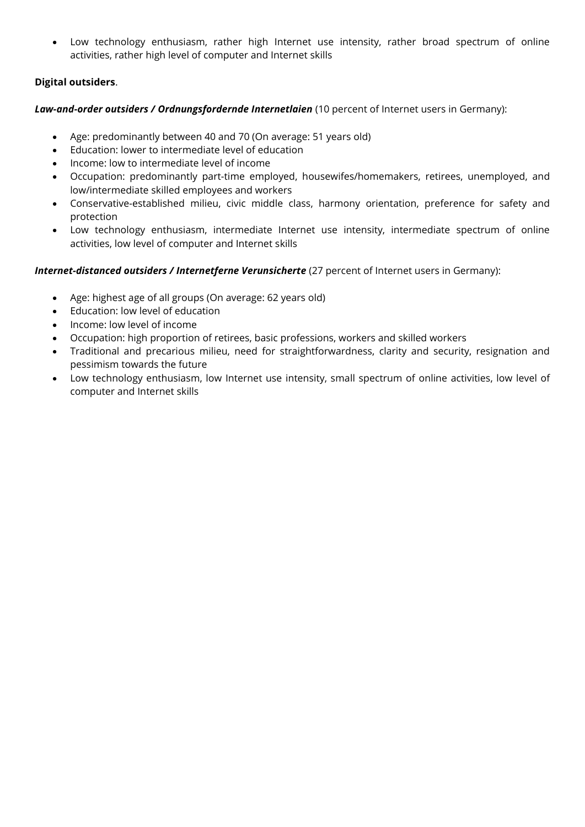Low technology enthusiasm, rather high Internet use intensity, rather broad spectrum of online activities, rather high level of computer and Internet skills

#### **Digital outsiders**.

#### *Law-and-order outsiders / Ordnungsfordernde Internetlaien* (10 percent of Internet users in Germany):

- Age: predominantly between 40 and 70 (On average: 51 years old)
- Education: lower to intermediate level of education
- Income: low to intermediate level of income
- Occupation: predominantly part-time employed, housewifes/homemakers, retirees, unemployed, and low/intermediate skilled employees and workers
- Conservative-established milieu, civic middle class, harmony orientation, preference for safety and protection
- Low technology enthusiasm, intermediate Internet use intensity, intermediate spectrum of online activities, low level of computer and Internet skills

#### *Internet-distanced outsiders / Internetferne Verunsicherte* (27 percent of Internet users in Germany):

- Age: highest age of all groups (On average: 62 years old)
- Education: low level of education
- Income: low level of income
- Occupation: high proportion of retirees, basic professions, workers and skilled workers
- Traditional and precarious milieu, need for straightforwardness, clarity and security, resignation and pessimism towards the future
- Low technology enthusiasm, low Internet use intensity, small spectrum of online activities, low level of computer and Internet skills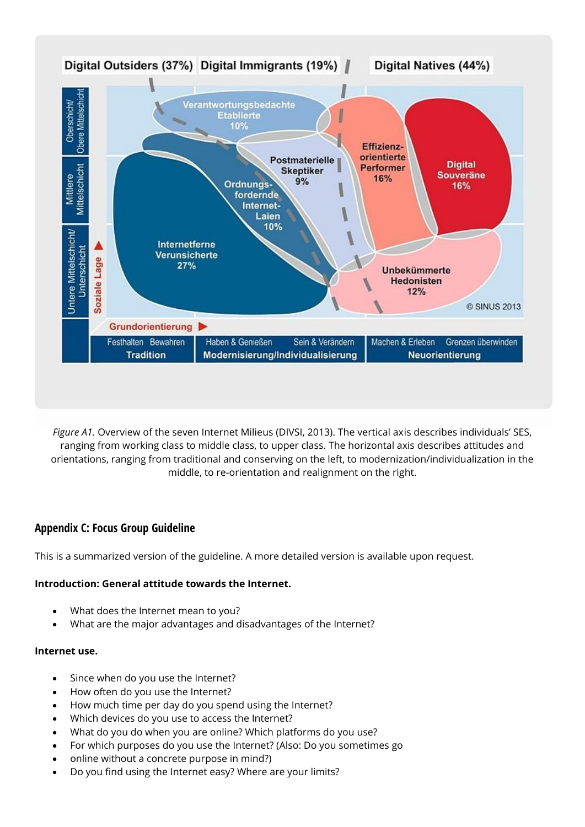

*Figure A1.* Overview of the seven Internet Milieus (DIVSI, 2013). The vertical axis describes individuals' SES, ranging from working class to middle class, to upper class. The horizontal axis describes attitudes and orientations, ranging from traditional and conserving on the left, to modernization/individualization in the middle, to re-orientation and realignment on the right.

### **Appendix C: Focus Group Guideline**

This is a summarized version of the guideline. A more detailed version is available upon request.

#### **Introduction: General attitude towards the Internet.**

- What does the Internet mean to you?
- What are the major advantages and disadvantages of the Internet?

#### **Internet use.**

- Since when do you use the Internet?
- How often do you use the Internet?
- How much time per day do you spend using the Internet?
- Which devices do you use to access the Internet?
- What do you do when you are online? Which platforms do you use?
- For which purposes do you use the Internet? (Also: Do you sometimes go
- online without a concrete purpose in mind?)
- Do you find using the Internet easy? Where are your limits?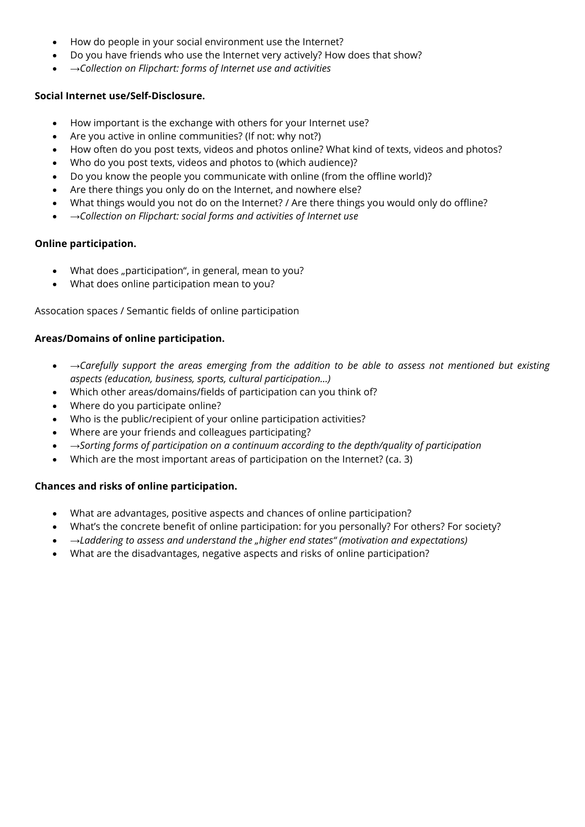- How do people in your social environment use the Internet?
- Do you have friends who use the Internet very actively? How does that show?
- →*Collection on Flipchart: forms of Internet use and activities*

#### **Social Internet use/Self-Disclosure.**

- How important is the exchange with others for your Internet use?
- Are you active in online communities? (If not: why not?)
- How often do you post texts, videos and photos online? What kind of texts, videos and photos?
- Who do you post texts, videos and photos to (which audience)?
- Do you know the people you communicate with online (from the offline world)?
- Are there things you only do on the Internet, and nowhere else?
- What things would you not do on the Internet? / Are there things you would only do offline?
- →*Collection on Flipchart: social forms and activities of Internet use*

#### **Online participation.**

- What does "participation", in general, mean to you?
- What does online participation mean to you?

Assocation spaces / Semantic fields of online participation

#### **Areas/Domains of online participation.**

- →*Carefully support the areas emerging from the addition to be able to assess not mentioned but existing aspects (education, business, sports, cultural participation…)*
- Which other areas/domains/fields of participation can you think of?
- Where do you participate online?
- Who is the public/recipient of your online participation activities?
- Where are your friends and colleagues participating?
- →*Sorting forms of participation on a continuum according to the depth/quality of participation*
- Which are the most important areas of participation on the Internet? (ca. 3)

#### **Chances and risks of online participation.**

- What are advantages, positive aspects and chances of online participation?
- What's the concrete benefit of online participation: for you personally? For others? For society?
- →*Laddering to assess and understand the "higher end states" (motivation and expectations)*
- What are the disadvantages, negative aspects and risks of online participation?